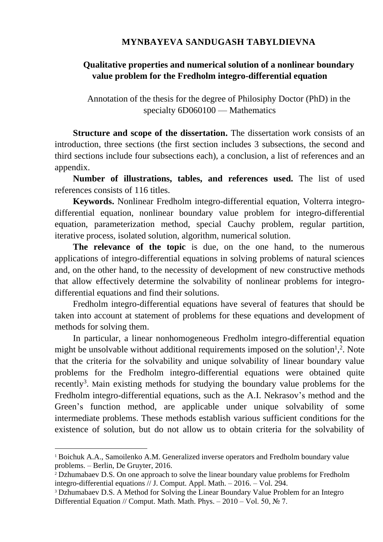## **MYNBAYEVA SANDUGASH TABYLDIEVNA**

## **Qualitative properties and numerical solution of a nonlinear boundary value problem for the Fredholm integro-differential equation**

Annotation of the thesis for the degree of Philosiphy Doctor (PhD) in the specialty 6D060100 — Mathematics

**Structure and scope of the dissertation.** The dissertation work consists of an introduction, three sections (the first section includes 3 subsections, the second and third sections include four subsections each), a conclusion, a list of references and an appendix.

**Number of illustrations, tables, and references used.** The list of used references consists of 116 titles.

**Keywords.** Nonlinear Fredholm integro-differential equation, Volterra integrodifferential equation, nonlinear boundary value problem for integro-differential equation, parameterization method, special Cauchy problem, regular partition, iterative process, isolated solution, algorithm, numerical solution.

**The relevance of the topic** is due, on the one hand, to the numerous applications of integro-differential equations in solving problems of natural sciences and, on the other hand, to the necessity of development of new constructive methods that allow effectively determine the solvability of nonlinear problems for integrodifferential equations and find their solutions.

Fredholm integro-differential equations have several of features that should be taken into account at statement of problems for these equations and development of methods for solving them.

In particular, a linear nonhomogeneous Fredholm integro-differential equation might be unsolvable without additional requirements imposed on the solution<sup>1</sup>,<sup>2</sup>. Note that the criteria for the solvability and unique solvability of linear boundary value problems for the Fredholm integro-differential equations were obtained quite recently<sup>3</sup>. Main existing methods for studying the boundary value problems for the Fredholm integro-differential equations, such as the A.I. Nekrasov's method and the Green's function method, are applicable under unique solvability of some intermediate problems. These methods establish various sufficient conditions for the existence of solution, but do not allow us to obtain criteria for the solvability of

1

<sup>&</sup>lt;sup>1</sup> Boichuk A.A., Samoilenko A.M. Generalized inverse operators and Fredholm boundary value problems. – Berlin, De Gruyter, 2016.

<sup>2</sup> Dzhumabaev D.S. On one approach to solve the linear boundary value problems for Fredholm integro-differential equations // J. Comput. Appl. Math. – 2016. – Vol. 294.

<sup>&</sup>lt;sup>3</sup> Dzhumabaev D.S. A Method for Solving the Linear Boundary Value Problem for an Integro Differential Equation // Comput. Math. Math. Phys. – 2010 – Vol. 50, № 7.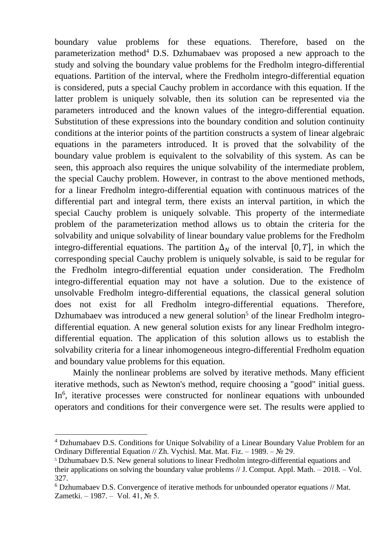boundary value problems for these equations. Therefore, based on the parameterization method<sup>4</sup> D.S. Dzhumabaev was proposed a new approach to the study and solving the boundary value problems for the Fredholm integro-differential equations. Partition of the interval, where the Fredholm integro-differential equation is considered, puts a special Cauchy problem in accordance with this equation. If the latter problem is uniquely solvable, then its solution can be represented via the parameters introduced and the known values of the integro-differential equation. Substitution of these expressions into the boundary condition and solution continuity conditions at the interior points of the partition constructs a system of linear algebraic equations in the parameters introduced. It is proved that the solvability of the boundary value problem is equivalent to the solvability of this system. As can be seen, this approach also requires the unique solvability of the intermediate problem, the special Cauchy problem. However, in contrast to the above mentioned methods, for a linear Fredholm integro-differential equation with continuous matrices of the differential part and integral term, there exists an interval partition, in which the special Cauchy problem is uniquely solvable. This property of the intermediate problem of the parameterization method allows us to obtain the criteria for the solvability and unique solvability of linear boundary value problems for the Fredholm integro-differential equations. The partition  $\Delta_N$  of the interval [0, T], in which the corresponding special Cauchy problem is uniquely solvable, is said to be regular for the Fredholm integro-differential equation under consideration. The Fredholm integro-differential equation may not have a solution. Due to the existence of unsolvable Fredholm integro-differential equations, the classical general solution does not exist for all Fredholm integro-differential equations. Therefore, Dzhumabaev was introduced a new general solution<sup>5</sup> of the linear Fredholm integrodifferential equation. A new general solution exists for any linear Fredholm integrodifferential equation. The application of this solution allows us to establish the solvability criteria for a linear inhomogeneous integro-differential Fredholm equation and boundary value problems for this equation.

Mainly the nonlinear problems are solved by iterative methods. Many efficient iterative methods, such as Newton's method, require choosing a "good" initial guess. In<sup>6</sup>, iterative processes were constructed for nonlinear equations with unbounded operators and conditions for their convergence were set. The results were applied to

1

<sup>4</sup> Dzhumabaev D.S. Conditions for Unique Solvability of a Linear Boundary Value Problem for an Ordinary Differential Equation // Zh. Vychisl. Mat. Mat. Fiz. – 1989. – № 29.

<sup>5</sup> Dzhumabaev D.S. New general solutions to linear Fredholm integro-differential equations and their applications on solving the boundary value problems // J. Comput. Appl. Math. – 2018. – Vol. 327.

<sup>6</sup> Dzhumabaev D.S. Convergence of iterative methods for unbounded operator equations // Mat. Zametki. – 1987. – Vol. 41, № 5.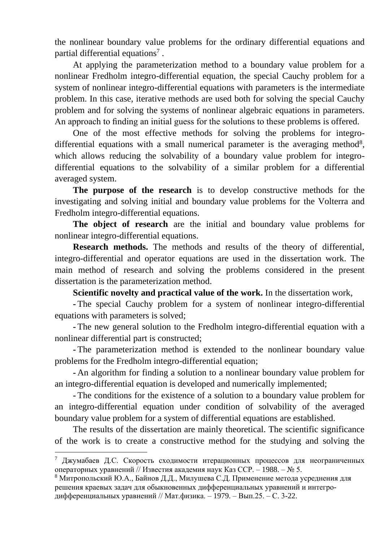the nonlinear boundary value problems for the ordinary differential equations and partial differential equations<sup>7</sup>.

At applying the parameterization method to a boundary value problem for a nonlinear Fredholm integro-differential equation, the special Cauchy problem for a system of nonlinear integro-differential equations with parameters is the intermediate problem. In this case, iterative methods are used both for solving the special Cauchy problem and for solving the systems of nonlinear algebraic equations in parameters. An approach to finding an initial guess for the solutions to these problems is offered.

One of the most effective methods for solving the problems for integrodifferential equations with a small numerical parameter is the averaging method<sup>8</sup>, which allows reducing the solvability of a boundary value problem for integrodifferential equations to the solvability of a similar problem for a differential averaged system.

**The purpose of the research** is to develop constructive methods for the investigating and solving initial and boundary value problems for the Volterra and Fredholm integro-differential equations.

**The object of research** are the initial and boundary value problems for nonlinear integro-differential equations.

**Research methods.** The methods and results of the theory of differential, integro-differential and operator equations are used in the dissertation work. The main method of research and solving the problems considered in the present dissertation is the parameterization method.

**Scientific novelty and practical value of the work.** In the dissertation work,

**-** The special Cauchy problem for a system of nonlinear integro-differential equations with parameters is solved;

**-** The new general solution to the Fredholm integro-differential equation with a nonlinear differential part is constructed;

**-** The parameterization method is extended to the nonlinear boundary value problems for the Fredholm integro-differential equation;

**-** An algorithm for finding a solution to a nonlinear boundary value problem for an integro-differential equation is developed and numerically implemented;

**-** The conditions for the existence of a solution to a boundary value problem for an integro-differential equation under condition of solvability of the averaged boundary value problem for a system of differential equations are established.

The results of the dissertation are mainly theoretical. The scientific significance of the work is to create a constructive method for the studying and solving the

<u>.</u>

<sup>&</sup>lt;sup>7</sup> Джумабаев Д.С. Скорость сходимости итерационных процессов для неограниченных операторных уравнений // Известия академия наук Каз ССР. – 1988. – № 5.

 $8$  Митропольский Ю.А., Байнов Д.Д., Милушева С.Д. Применение метода усреднения для решения краевых задач для обыкновенных дифференциальных уравнений и интегродифференциальных уравнений // Мат.физика. – 1979. – Вып.25. – С. 3-22.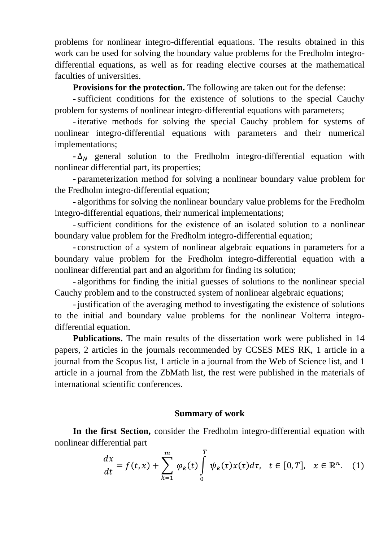problems for nonlinear integro-differential equations. The results obtained in this work can be used for solving the boundary value problems for the Fredholm integrodifferential equations, as well as for reading elective courses at the mathematical faculties of universities.

**Provisions for the protection.** The following are taken out for the defense:

**-**sufficient conditions for the existence of solutions to the special Cauchy problem for systems of nonlinear integro-differential equations with parameters;

**-** iterative methods for solving the special Cauchy problem for systems of nonlinear integro-differential equations with parameters and their numerical implementations;

 $-\Delta_N$  general solution to the Fredholm integro-differential equation with nonlinear differential part, its properties;

**-** parameterization method for solving a nonlinear boundary value problem for the Fredholm integro-differential equation;

**-** algorithms for solving the nonlinear boundary value problems for the Fredholm integro-differential equations, their numerical implementations;

**-**sufficient conditions for the existence of an isolated solution to a nonlinear boundary value problem for the Fredholm integro-differential equation;

**-** construction of a system of nonlinear algebraic equations in parameters for a boundary value problem for the Fredholm integro-differential equation with a nonlinear differential part and an algorithm for finding its solution;

**-** algorithms for finding the initial guesses of solutions to the nonlinear special Cauchy problem and to the constructed system of nonlinear algebraic equations;

**-** justification of the averaging method to investigating the existence of solutions to the initial and boundary value problems for the nonlinear Volterra integrodifferential equation.

**Publications.** The main results of the dissertation work were published in 14 papers, 2 articles in the journals recommended by CCSES MES RK, 1 article in a journal from the Scopus list, 1 article in a journal from the Web of Science list, and 1 article in a journal from the ZbMath list, the rest were published in the materials of international scientific conferences.

## **Summary of work**

**In the first Section,** consider the Fredholm integro-differential equation with nonlinear differential part

$$
\frac{dx}{dt} = f(t,x) + \sum_{k=1}^{m} \varphi_k(t) \int_0^T \psi_k(\tau) x(\tau) d\tau, \quad t \in [0,T], \quad x \in \mathbb{R}^n. \tag{1}
$$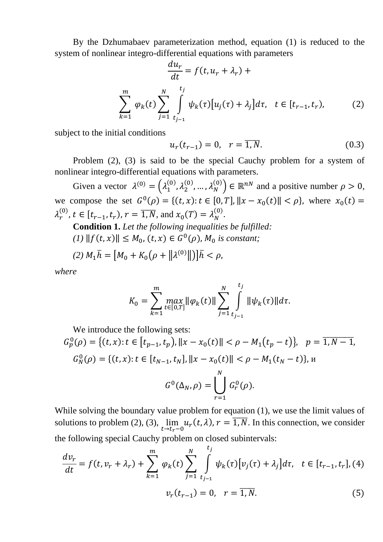By the Dzhumabaev parameterization method, equation (1) is reduced to the system of nonlinear integro-differential equations with parameters

$$
\frac{du_r}{dt} = f(t, u_r + \lambda_r) +
$$
\n
$$
\sum_{k=1}^{m} \varphi_k(t) \sum_{j=1}^{N} \int_{t_{j-1}}^{t_j} \psi_k(\tau) [u_j(\tau) + \lambda_j] d\tau, \quad t \in [t_{r-1}, t_r),
$$
\n(2)

subject to the initial conditions

$$
u_r(t_{r-1}) = 0, \quad r = \overline{1, N}.
$$
 (0.3)

Problem (2), (3) is said to be the special Cauchy problem for a system of nonlinear integro-differential equations with parameters.

Given a vector  $\lambda^{(0)} = (\lambda_1^{(0)}, \lambda_2^{(0)}, ..., \lambda_N^{(0)}) \in \mathbb{R}^{nN}$  and a positive number  $\rho > 0$ , we compose the set  $G^0(\rho) = \{(t, x): t \in [0, T], ||x - x_0(t)|| < \rho\}$ , where  $x_0(t) =$  $\lambda_r^{(0)}$ ,  $t \in [t_{r-1}, t_r)$ ,  $r = \overline{1, N}$ , and  $x_0(T) = \lambda_N^{(0)}$ .

**Condition 1.** *Let the following inequalities be fulfilled:*  $(1)$   $|| f(t, x) || \leq M_0$ ,  $(t, x) \in G^0(\rho)$ ,  $M_0$  *is constant*;

(2) 
$$
M_1 \bar{h} = [M_0 + K_0 (\rho + ||\lambda^{(0)}||)] \bar{h} < \rho
$$
,

*where*

$$
K_0 = \sum_{k=1}^m \max_{t \in [0,T]} ||\varphi_k(t)|| \sum_{j=1}^N \int_{t_{j-1}}^{t_j} ||\psi_k(\tau)|| d\tau.
$$

We introduce the following sets:

$$
G_p^0(\rho) = \{(t, x): t \in [t_{p-1}, t_p), ||x - x_0(t)|| < \rho - M_1(t_p - t)\}, \quad p = \overline{1, N - 1},
$$
  

$$
G_N^0(\rho) = \{(t, x): t \in [t_{N-1}, t_N], ||x - x_0(t)|| < \rho - M_1(t_N - t)\}, \quad N
$$
  

$$
G^0(\Delta_N, \rho) = \bigcup_{r=1}^N G_r^0(\rho).
$$

While solving the boundary value problem for equation (1), we use the limit values of solutions to problem  $(2)$ ,  $(3)$ ,  $\lim$  $\lim_{t \to t_r - 0} u_r(t, \lambda)$ ,  $r = \overline{1, N}$ . In this connection, we consider the following special Cauchy problem on closed subintervals:

$$
\frac{dv_r}{dt} = f(t, v_r + \lambda_r) + \sum_{k=1}^{m} \varphi_k(t) \sum_{j=1}^{N} \int_{t_{j-1}}^{t_j} \psi_k(\tau) [v_j(\tau) + \lambda_j] d\tau, \quad t \in [t_{r-1}, t_r], (4)
$$

$$
v_r(t_{r-1}) = 0, \quad r = \overline{1, N}.
$$
 (5)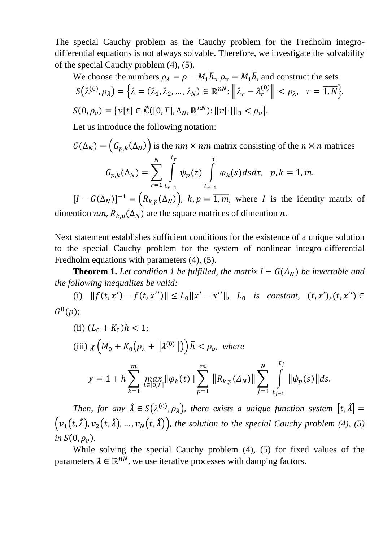The special Cauchy problem as the Cauchy problem for the Fredholm integrodifferential equations is not always solvable. Therefore, we investigate the solvability of the special Cauchy problem (4), (5).

We choose the numbers 
$$
\rho_{\lambda} = \rho - M_1 \overline{h}
$$
,  $\rho_{\nu} = M_1 \overline{h}$ , and construct the sets  
\n
$$
S(\lambda^{(0)}, \rho_{\lambda}) = \left\{ \lambda = (\lambda_1, \lambda_2, ..., \lambda_N) \in \mathbb{R}^{nN} : ||\lambda_r - \lambda_r^{(0)}|| < \rho_{\lambda}, \quad r = \overline{1, N} \right\}.
$$
\n
$$
S(0, \rho_{\nu}) = \left\{ \nu[t] \in \tilde{\mathbb{C}}([0, T], \Delta_N, \mathbb{R}^{nN}) : ||\nu[\cdot]||_3 < \rho_{\nu} \right\}.
$$

Let us introduce the following notation:

$$
G(\Delta_N) = (G_{p,k}(\Delta_N))
$$
 is the  $nm \times nm$  matrix consisting of the  $n \times n$  matrices  

$$
G_{p,k}(\Delta_N) = \sum_{r=1}^N \int_{t_{r-1}}^{t_r} \psi_p(\tau) \int_{t_{r-1}}^{\tau} \varphi_k(s) ds d\tau, \quad p, k = \overline{1, m}.
$$

 $[I - G(\Delta_N)]^{-1} = (R_{k,p}(\Delta_N)), k,p = \overline{1,m}$ , where I is the identity matrix of dimention *nm*,  $R_{k,p}(\Delta_N)$  are the square matrices of dimention *n*.

Next statement establishes sufficient conditions for the existence of a unique solution to the special Cauchy problem for the system of nonlinear integro-differential Fredholm equations with parameters (4), (5).

**Theorem 1.** Let condition 1 be fulfilled, the matrix  $I - G(\Delta_N)$  be invertable and *the following inequalites be valid:*

(i)  $|| f(t, x') - f(t, x'') || \le L_0 ||x' - x''||$ ,  $L_0$  *is constant,*  $(t, x'), (t, x'') \in$  $G^0(\rho);$ 

(ii) 
$$
(L_0 + K_0)\bar{h} < 1
$$
;  
\n(iii)  $\chi \left(M_0 + K_0(\rho_\lambda + ||\lambda^{(0)}||)\right) \bar{h} < \rho_\nu$ , where  
\n
$$
\chi = 1 + \bar{h} \sum_{k=1}^m \max_{t \in [0,T]} ||\varphi_k(t)|| \sum_{p=1}^m ||R_{k,p}(\Delta_N)|| \sum_{j=1}^N \int_{t_{j-1}}^{t_j} ||\psi_p(s)|| ds.
$$

*Then, for any*  $\hat{\lambda} \in S(\lambda^{(0)}, \rho_{\lambda})$ , *there exists a unique function system*  $[t, \hat{\lambda}] =$  $(v_1(t, \hat{\lambda}), v_2(t, \hat{\lambda}), ..., v_N(t, \hat{\lambda}))$ , the solution to the special Cauchy problem (4), (5) *in*  $S(0, \rho_v)$ .

While solving the special Cauchy problem (4), (5) for fixed values of the parameters  $\lambda \in \mathbb{R}^{n}$ , we use iterative processes with damping factors.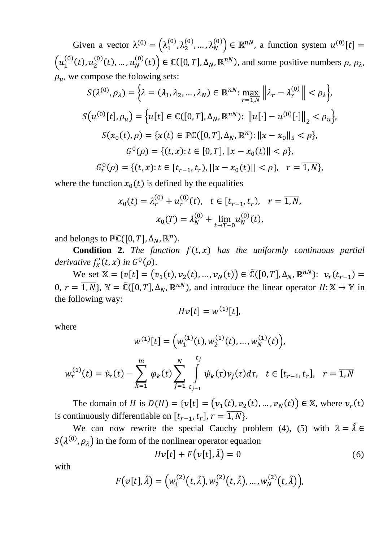Given a vector  $\lambda^{(0)} = (\lambda_1^{(0)}, \lambda_2^{(0)}, ..., \lambda_N^{(0)}) \in \mathbb{R}^{nN}$ , a function system  $u^{(0)}[t] =$  $\left(u_1^{(0)}(t), u_2^{(0)}(t), \ldots, u_N^{(0)}(t)\right) \in \mathbb{C}([0, T], \Delta_N, \mathbb{R}^{nN})$ , and some positive numbers  $\rho, \rho_\lambda$ ,  $\rho_u$ , we compose the folowing sets:

$$
S(\lambda^{(0)}, \rho_{\lambda}) = \left\{ \lambda = (\lambda_1, \lambda_2, ..., \lambda_N) \in \mathbb{R}^{nN} : \max_{r=1, N} \left\| \lambda_r - \lambda_r^{(0)} \right\| < \rho_{\lambda} \right\},
$$
\n
$$
S(u^{(0)}[t], \rho_u) = \left\{ u[t] \in \mathbb{C}([0, T], \Delta_N, \mathbb{R}^{nN}) : \left\| u[\cdot] - u^{(0)}[\cdot] \right\|_2 < \rho_u \right\},
$$
\n
$$
S(x_0(t), \rho) = \left\{ x(t) \in \mathbb{PC}([0, T], \Delta_N, \mathbb{R}^n) : \left\| x - x_0 \right\|_5 < \rho \right\},
$$
\n
$$
G^0(\rho) = \left\{ (t, x) : t \in [0, T], \left\| x - x_0(t) \right\| < \rho \right\},
$$
\n
$$
G^0(\rho) = \left\{ (t, x) : t \in [t_{r-1}, t_r), \left\| x - x_0(t) \right\| < \rho \right\}, \quad r = \overline{1, N} \right\},
$$

where the function  $x_0(t)$  is defined by the equalities

$$
x_0(t) = \lambda_r^{(0)} + u_r^{(0)}(t), \quad t \in [t_{r-1}, t_r), \quad r = \overline{1, N},
$$

$$
x_0(T) = \lambda_N^{(0)} + \lim_{t \to T-0} u_N^{(0)}(t),
$$

and belongs to  $\mathbb{PC}([0, T], \Delta_N, \mathbb{R}^n)$ .

**Condition 2.** *The function*  $f(t, x)$  *has the uniformly continuous partial derivative*  $f'_x(t, x)$  *in*  $G^0(\rho)$ .

We set  $\mathbb{X} = \{v[t] = (v_1(t), v_2(t), ..., v_N(t)) \in \tilde{\mathbb{C}}([0, T], \Delta_N, \mathbb{R}^{nN}) : v_r(t_{r-1}) =$ 0,  $r = \overline{1,N}$ ,  $\mathbb{Y} = \mathbb{C}([0,T], \Delta_N, \mathbb{R}^{nN})$ , and introduce the linear operator  $H: \mathbb{X} \to \mathbb{Y}$  in the following way:

$$
Hv[t] = w^{(1)}[t],
$$

where

$$
w^{(1)}[t] = \left(w_1^{(1)}(t), w_2^{(1)}(t), \dots, w_N^{(1)}(t)\right),
$$
  

$$
w_r^{(1)}(t) = \dot{v}_r(t) - \sum_{k=1}^m \varphi_k(t) \sum_{j=1}^N \int_{t_{j-1}}^{t_j} \psi_k(\tau) v_j(\tau) d\tau, \quad t \in [t_{r-1}, t_r], \quad r = \overline{1, N}
$$

The domain of *H* is  $D(H) = \{v[t] = (v_1(t), v_2(t), ..., v_N(t)) \in \mathbb{X}$ , where  $v_r(t)$ is continuously differentiable on  $[t_{r-1}, t_r]$ ,  $r = \overline{1, N}$ .

We can now rewrite the special Cauchy problem (4), (5) with  $\lambda = \hat{\lambda} \in$  $S(\lambda^{(0)}, \rho_{\lambda})$  in the form of the nonlinear operator equation

$$
Hv[t] + F(v[t], \hat{\lambda}) = 0 \tag{6}
$$

with

$$
F(v[t], \hat{\lambda}) = (w_1^{(2)}(t, \hat{\lambda}), w_2^{(2)}(t, \hat{\lambda}), ..., w_N^{(2)}(t, \hat{\lambda})),
$$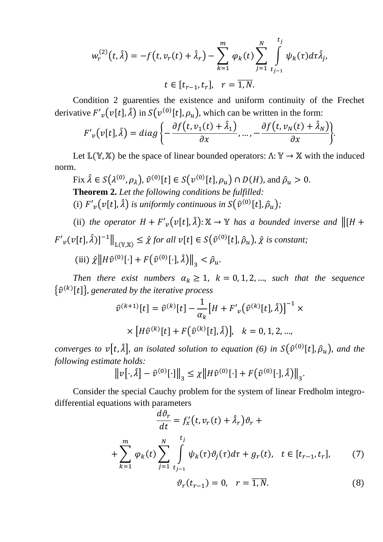$$
w_r^{(2)}(t,\hat{\lambda}) = -f(t, v_r(t) + \hat{\lambda}_r) - \sum_{k=1}^m \varphi_k(t) \sum_{j=1}^N \int_{t_{j-1}}^{t_j} \psi_k(\tau) d\tau \hat{\lambda}_j,
$$
  

$$
t \in [t_{r-1}, t_r], \quad r = \overline{1, N}.
$$

Condition 2 guarenties the existence and uniform continuity of the Frechet derivative  $F'_{v}(v[t], \hat{\lambda})$  in  $S(v^{(0)}[t], \rho_u)$ , which can be written in the form:

$$
F'_{v}(v[t],\hat{\lambda}) = diag\left\{-\frac{\partial f(t,v_1(t) + \hat{\lambda}_1)}{\partial x}, \dots, -\frac{\partial f(t,v_N(t) + \hat{\lambda}_N)}{\partial x}\right\}.
$$

Let  $\mathbb{L}(\mathbb{Y}, \mathbb{X})$  be the space of linear bounded operators:  $\Lambda: \mathbb{Y} \to \mathbb{X}$  with the induced norm.

Fix  $\hat{\lambda} \in S(\lambda^{(0)}, \rho_{\lambda}), \hat{v}^{(0)}[t] \in S(v^{(0)}[t], \rho_u) \cap D(H)$ , and  $\hat{\rho}_u > 0$ . **Theorem 2.** *Let the following conditions be fulfilled:* (i)  $F'_{v}(v[t], \hat{\lambda})$  is uniformly continuous in  $S(\hat{v}^{(0)}[t], \hat{\rho}_{u})$ ;

(ii) *the operator*  $H + F'_{v}(v[t], \hat{\lambda})$ :  $X \to Y$  *has a bounded inverse and*  $\Vert [H +$  $\|F'_{v}(v[t],\hat{\lambda})\|^{-1}\|_{\mathbb{L}(\mathbb{Y},\mathbb{X})} \leq \hat{\chi}$  for all  $v[t] \in S(\hat{v}^{(0)}[t],\hat{\rho}_u)$ ,  $\hat{\chi}$  is constant;

(iii)  $\hat{\chi} \left\| H \hat{v}^{(0)}[\cdot] + F(\hat{v}^{(0)}[\cdot], \hat{\lambda}) \right\|_3 < \hat{\rho}_u$ .

*Then there exist numbers*  $\alpha_k \geq 1$ ,  $k = 0, 1, 2, \dots$ , *such that the sequence*  $\{\hat{v}^{(k)}[t]\}$ , generated by the iterative process

$$
\hat{v}^{(k+1)}[t] = \hat{v}^{(k)}[t] - \frac{1}{\alpha_k} [H + F'_{v}(\hat{v}^{(k)}[t], \hat{\lambda})]^{-1}
$$

$$
\times [H\hat{v}^{(k)}[t] + F(\hat{v}^{(k)}[t], \hat{\lambda})], \quad k = 0, 1, 2, ...,
$$

*converges to*  $\nu[t, \hat{\lambda}]$ , *an isolated solution to equation* (6) in  $S(\hat{v}^{(0)}[t], \hat{\rho}_u)$ , *and the following estimate holds:*

$$
\left\|v\right[\cdot,\hat{\lambda}\right]-\hat{v}^{(0)}\left[\cdot\right]\right\|_{3} \leq \chi\left\|H\hat{v}^{(0)}\left[\cdot\right]+\bar{F}\left(\hat{v}^{(0)}\left[\cdot\right],\hat{\lambda}\right)\right\|_{3}.
$$

Consider the special Cauchy problem for the system of linear Fredholm integrodifferential equations with parameters

$$
\frac{d\vartheta_r}{dt} = f'_x(t, v_r(t) + \hat{\lambda}_r)\vartheta_r +
$$
  
+ 
$$
\sum_{k=1}^m \varphi_k(t) \sum_{j=1}^N \int_{t_{j-1}}^{t_j} \psi_k(\tau)\vartheta_j(\tau) d\tau + g_r(t), \quad t \in [t_{r-1}, t_r],
$$
 (7)  

$$
\vartheta_r(t_{r-1}) = 0, \quad r = \overline{1, N}.
$$

×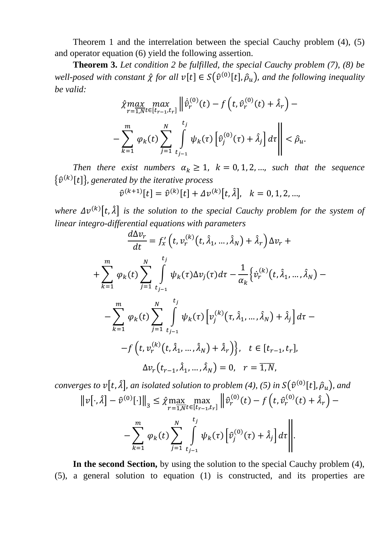Theorem 1 and the interrelation between the special Cauchy problem (4), (5) and operator equation (6) yield the following assertion.

**Theorem 3.** *Let condition 2 be fulfilled, the special Cauchy problem (7), (8) be*  well-posed with constant  $\hat{\chi}$  for all  $v[t] \in S(\hat{v}^{(0)}[t], \hat{\rho}_u)$ , and the following inequality *be valid:*

$$
\hat{\chi} \max_{r=1, Nt \in [t_{r-1}, t_r]} \left\| \dot{\hat{v}}_r^{(0)}(t) - f\left(t, \hat{v}_r^{(0)}(t) + \hat{\lambda}_r\right) - \right\|_{\kappa=1}^m \varphi_k(t) \sum_{j=1}^N \int_{t_{j-1}}^{t_j} \psi_k(\tau) \left[ \hat{v}_j^{(0)}(\tau) + \hat{\lambda}_j \right] d\tau \right\| < \hat{\rho}_u.
$$

*Then there exist numbers*  $\alpha_k \geq 1$ ,  $k = 0, 1, 2, \dots$ , *such that the sequence*  $\{\hat{v}^{(k)}[t]\}\$ , generated by the iterative process

$$
\hat{v}^{(k+1)}[t] = \hat{v}^{(k)}[t] + \Delta v^{(k)}[t,\hat{\lambda}], \quad k = 0, 1, 2, ...,
$$

where  $\Delta v^{(k)}[t, \hat{\lambda}]$  is the solution to the special Cauchy problem for the system of *linear integro-differential equations with parameters*

$$
\frac{d\Delta v_r}{dt} = f'_x(t, v_r^{(k)}(t, \hat{\lambda}_1, ..., \hat{\lambda}_N) + \hat{\lambda}_r) \Delta v_r +
$$
\n
$$
+ \sum_{k=1}^m \varphi_k(t) \sum_{j=1}^N \int_{t_{j-1}}^{t_j} \psi_k(\tau) \Delta v_j(\tau) d\tau - \frac{1}{\alpha_k} \Big\{ \dot{v}_r^{(k)}(t, \hat{\lambda}_1, ..., \hat{\lambda}_N) -
$$
\n
$$
- \sum_{k=1}^m \varphi_k(t) \sum_{j=1}^N \int_{t_{j-1}}^{t_j} \psi_k(\tau) \Big[ v_j^{(k)}(\tau, \hat{\lambda}_1, ..., \hat{\lambda}_N) + \hat{\lambda}_j \Big] d\tau -
$$
\n
$$
- f(t, v_r^{(k)}(t, \hat{\lambda}_1, ..., \hat{\lambda}_N) + \hat{\lambda}_r) \Big\}, \quad t \in [t_{r-1}, t_r],
$$
\n
$$
\Delta v_r(t_{r-1}, \hat{\lambda}_1, ..., \hat{\lambda}_N) = 0, \quad r = \overline{1, N},
$$

*converges to*  $\nu[t, \hat{\lambda}]$ , *an isolated solution to problem* (4), (5) *in*  $S(\hat{v}^{(0)}[t], \hat{\rho}_u)$ , *and*  $\left\|v\right[\cdot,\hat{\lambda}] - \hat{v}^{(0)}\left[\cdot\right]\right\|_3 \leq \hat{\chi} \max_{r=1}$  $r=1,N$ max  $\max_{t \in [t_{r-1}, t_r]} \left\| \hat{v}_r^{(0)}(t) - f\left(t, \hat{v}_r^{(0)}(t) + \hat{\lambda}_r\right) - \right\|$ −∑  $\boldsymbol{m}$  $k=1$  $\varphi_k(t)\sum$  $\boldsymbol{N}$  $j=1$ ∫  $t_j$  $t_{j-1}$  $\psi_k(\tau) \left| \widehat{v} \right\rangle$  $\hat{a}_j^{(0)}(\tau) + \hat{\lambda}_j d\tau$ .

**In the second Section,** by using the solution to the special Cauchy problem (4), (5), a general solution to equation (1) is constructed, and its properties are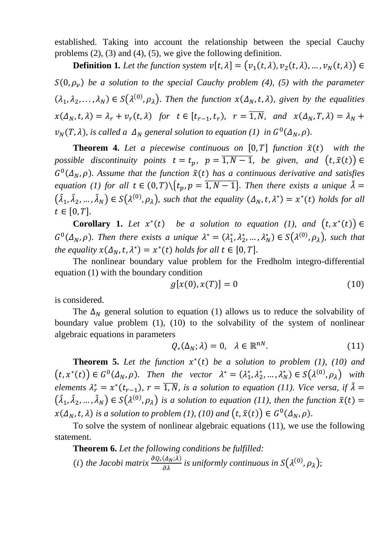established. Taking into account the relationship between the special Cauchy problems (2), (3) and (4), (5), we give the following definition.

**Definition 1.** Let the function system  $v[t, \lambda] = (v_1(t, \lambda), v_2(t, \lambda), ..., v_N(t, \lambda)) \in$  $S(0, \rho_v)$  be a solution to the special Cauchy problem (4), (5) with the parameter  $(\lambda_1, \lambda_2, ..., \lambda_N) \in S(\lambda^{(0)}, \rho_\lambda)$ . Then the function  $x(\Delta_N, t, \lambda)$ , given by the equalities  $x(\Delta_N, t, \lambda) = \lambda_r + v_r(t, \lambda)$  for  $t \in [t_{r-1}, t_r)$ ,  $r = \overline{1, N}$ , and  $x(\Delta_N, T, \lambda) = \lambda_N +$  $v_N(T, \lambda)$ , is called a  $\Delta_N$  general solution to equation (1) in  $G^0(\Delta_N, \rho)$ .

**Theorem 4.** Let a piecewise continuous on  $[0, T]$  function  $\tilde{x}(t)$  with the *possible discontinuity points*  $t = t_p$ ,  $p = \overline{1, N-1}$ , *be given, and*  $(t, \tilde{x}(t)) \in$  $G^0(\Delta_N, \rho)$ . Assume that the function  $\tilde{x}(t)$  has a continuous derivative and satisfies *equation (1) for all t*  $\in (0, T)\{t_p, p = \overline{1, N-1}\}$ . *Then there exists a unique*  $\tilde{\lambda} =$  $(\tilde{\lambda}_1, \tilde{\lambda}_2, ..., \tilde{\lambda}_N) \in S(\lambda^{(0)}, \rho_\lambda)$ , such that the equality  $(\Delta_N, t, \lambda^*) = x^*(t)$  holds for all  $t \in [0, T].$ 

**Corollary 1.** Let  $x^*(t)$  be a solution to equation (1), and  $(t, x^*(t)) \in$  $G^0(\Delta_N, \rho)$ . Then there exists a unique  $\lambda^* = (\lambda_1^*, \lambda_2^*, ..., \lambda_N^*) \in S(\lambda^{(0)}, \rho_\lambda)$ , such that *the equality*  $x(\Delta_N, t, \lambda^*) = x^*(t)$  *holds for all*  $t \in [0, T]$ .

The nonlinear boundary value problem for the Fredholm integro-differential equation (1) with the boundary condition

$$
g[x(0), x(T)] = 0 \tag{10}
$$

is considered.

The  $\Delta_N$  general solution to equation (1) allows us to reduce the solvability of boundary value problem (1), (10) to the solvability of the system of nonlinear algebraic equations in parameters

$$
Q_*(\Delta_N; \lambda) = 0, \quad \lambda \in \mathbb{R}^{nN}.
$$
 (11)

**Theorem 5.** Let the function  $x^*(t)$  be a solution to problem (1), (10) and  $(t, x^*(t)) \in G^0(\Delta_N, \rho)$ . Then the vector  $\lambda^* = (\lambda_1^*, \lambda_2^*, \dots, \lambda_N^*) \in S(\lambda^{(0)}, \rho_{\lambda})$  with *elements*  $\lambda_r^* = x^*(t_{r-1})$ ,  $r = \overline{1, N}$ , *is a solution to equation (11). Vice versa, if*  $\tilde{\lambda} =$  $(\tilde{\lambda}_1, \tilde{\lambda}_2, ..., \tilde{\lambda}_N) \in S(\lambda^{(0)}, \rho_{\lambda})$  is a solution to equation (11), then the function  $\tilde{x}(t) =$  $x(\Delta_N, t, \lambda)$  is a solution to problem (1), (10) and  $\bigl(t, \tilde{x}(t)\bigr) \in G^0(\Delta_N, \rho)$ .

To solve the system of nonlinear algebraic equations (11), we use the following statement.

**Theorem 6.** *Let the following conditions be fulfilled:* (*i*) *the Jacobi matrix*  $\frac{\partial Q_*(\Delta_N; \lambda)}{\partial \lambda}$  $\frac{(\Delta_N;\lambda)}{\partial \lambda}$  is uniformly continuous in  $S(\lambda^{(0)},\rho_{\lambda})$ ;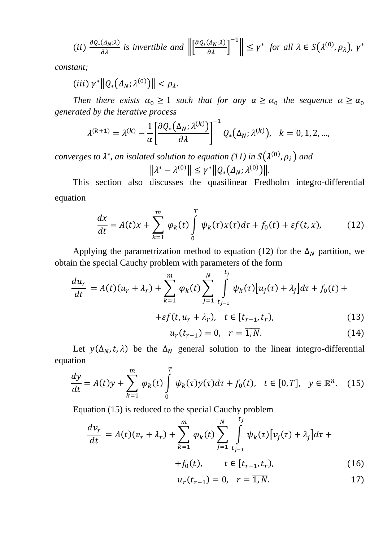$$
(ii) \frac{\partial Q_*(\Delta_N;\lambda)}{\partial \lambda} \text{ is invertible and } \left\| \left[ \frac{\partial Q_*(\Delta_N;\lambda)}{\partial \lambda} \right]^{-1} \right\| \leq \gamma^* \text{ for all } \lambda \in S(\lambda^{(0)},\rho_{\lambda}), \gamma^*
$$

*constant;*

(*iii*)  $\gamma^* \| Q_* (\Delta_N; \lambda^{(0)}) \| < \rho_\lambda.$ 

*Then there exists*  $\alpha_0 \geq 1$  *such that for any*  $\alpha \geq \alpha_0$  *the sequence*  $\alpha \geq \alpha_0$ *generated by the iterative process*

$$
\lambda^{(k+1)} = \lambda^{(k)} - \frac{1}{\alpha} \left[ \frac{\partial Q_*(\Delta_N; \lambda^{(k)})}{\partial \lambda} \right]^{-1} Q_*(\Delta_N; \lambda^{(k)}), \quad k = 0, 1, 2, ...,
$$

converges to  $\lambda^*$ , an isolated solution to equation (11) in  $S(\lambda^{(0)},\rho_\lambda)$  and

$$
\left\|\lambda^* - \lambda^{(0)}\right\| \leq \gamma^* \left\|Q_*\left(\Delta_N;\lambda^{(0)}\right)\right\|.
$$

This section also discusses the quasilinear Fredholm integro-differential equation

$$
\frac{dx}{dt} = A(t)x + \sum_{k=1}^{m} \varphi_k(t) \int_{0}^{T} \psi_k(\tau) x(\tau) d\tau + f_0(t) + \varepsilon f(t, x), \tag{12}
$$

Applying the parametrization method to equation (12) for the  $\Delta_N$  partition, we obtain the special Cauchy problem with parameters of the form

$$
\frac{du_r}{dt} = A(t)(u_r + \lambda_r) + \sum_{k=1}^m \varphi_k(t) \sum_{j=1}^N \int_{t_{j-1}}^{t_j} \psi_k(\tau) [u_j(\tau) + \lambda_j] d\tau + f_0(t) +
$$
  
+ $\varepsilon f(t, u_r + \lambda_r), \quad t \in [t_{r-1}, t_r),$  (13)

$$
u_r(t_{r-1}) = 0, \quad r = \overline{1, N}.
$$
 (14)

Let  $y(\Delta_N, t, \lambda)$  be the  $\Delta_N$  general solution to the linear integro-differential equation

$$
\frac{dy}{dt} = A(t)y + \sum_{k=1}^{m} \varphi_k(t) \int_{0}^{T} \psi_k(\tau) y(\tau) d\tau + f_0(t), \quad t \in [0, T], \quad y \in \mathbb{R}^n. \tag{15}
$$

Equation (15) is reduced to the special Cauchy problem

$$
\frac{dv_r}{dt} = A(t)(v_r + \lambda_r) + \sum_{k=1}^m \varphi_k(t) \sum_{j=1}^N \int_{t_{j-1}}^{t_j} \psi_k(\tau) [v_j(\tau) + \lambda_j] d\tau +
$$

$$
+f_0(t), \t t \in [t_{r-1}, t_r), \t (16)
$$

$$
u_r(t_{r-1}) = 0, \quad r = \overline{1, N}.
$$
 (17)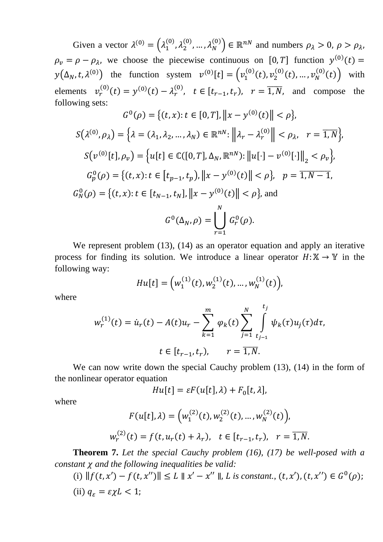Given a vector  $\lambda^{(0)} = (\lambda_1^{(0)}, \lambda_2^{(0)}, ..., \lambda_N^{(0)}) \in \mathbb{R}^{nN}$  and numbers  $\rho_{\lambda} > 0$ ,  $\rho > \rho_{\lambda}$ ,  $\rho_v = \rho - \rho_\lambda$ , we choose the piecewise continuous on [0, T] function  $y^{(0)}(t) =$  $y(\Delta_N, t, \lambda^{(0)})$  the function system  $v^{(0)}[t] = (v_1^{(0)}(t), v_2^{(0)}(t), ..., v_N^{(0)}(t))$  with elements  $v_r^{(0)}(t) = y^{(0)}(t) - \lambda_r^{(0)}$ ,  $t \in [t_{r-1}, t_r)$ ,  $r = \overline{1, N}$ , and compose the following sets:

$$
G^{0}(\rho) = \{(t, x): t \in [0, T], ||x - y^{(0)}(t)|| < \rho\},
$$
  
\n
$$
S(\lambda^{(0)}, \rho_{\lambda}) = \left\{\lambda = (\lambda_{1}, \lambda_{2}, ..., \lambda_{N}) \in \mathbb{R}^{nN}: ||\lambda_{r} - \lambda_{r}^{(0)}|| < \rho_{\lambda}, r = \overline{1, N}\right\},
$$
  
\n
$$
S(v^{(0)}[t], \rho_{v}) = \left\{u[t] \in \mathbb{C}([0, T], \Delta_{N}, \mathbb{R}^{nN}): ||u[\cdot] - v^{(0)}[\cdot]||_{2} < \rho_{v}\right\},
$$
  
\n
$$
G_{p}^{0}(\rho) = \left\{(t, x): t \in [t_{p-1}, t_{p}), ||x - y^{(0)}(t)|| < \rho\right\}, p = \overline{1, N - 1},
$$
  
\n
$$
G_{N}^{0}(\rho) = \left\{(t, x): t \in [t_{N-1}, t_{N}], ||x - y^{(0)}(t)|| < \rho\right\}, \text{ and}
$$
  
\n
$$
G^{0}(\Delta_{N}, \rho) = \bigcup_{r=1}^{N} G_{r}^{0}(\rho).
$$

We represent problem (13), (14) as an operator equation and apply an iterative process for finding its solution. We introduce a linear operator  $H: X \to Y$  in the following way:

$$
Hu[t] = (w_1^{(1)}(t), w_2^{(1)}(t), ..., w_N^{(1)}(t)),
$$

where

$$
w_r^{(1)}(t) = \dot{u}_r(t) - A(t)u_r - \sum_{k=1}^m \varphi_k(t) \sum_{j=1}^N \int_{t_{j-1}}^{t_j} \psi_k(\tau)u_j(\tau)d\tau,
$$
  

$$
t \in [t_{r-1}, t_r), \qquad r = \overline{1, N}.
$$

We can now write down the special Cauchy problem  $(13)$ ,  $(14)$  in the form of the nonlinear operator equation

$$
Hu[t] = \varepsilon F(u[t], \lambda) + F_0[t, \lambda],
$$

where

$$
F(u[t], \lambda) = (w_1^{(2)}(t), w_2^{(2)}(t), \dots, w_N^{(2)}(t)),
$$
  

$$
w_r^{(2)}(t) = f(t, u_r(t) + \lambda_r), \quad t \in [t_{r-1}, t_r), \quad r = \overline{1, N}.
$$

**Theorem 7.** *Let the special Cauchy problem (16), (17) be well-posed with a constant and the following inequalities be valid:*

(i)  $|| f(t, x') - f(t, x'') || \le L || x' - x'' ||$ , *L* is constant.,  $(t, x'), (t, x'') \in G^{0}(\rho)$ ;

(ii) 
$$
q_{\varepsilon} = \varepsilon \chi L < 1;
$$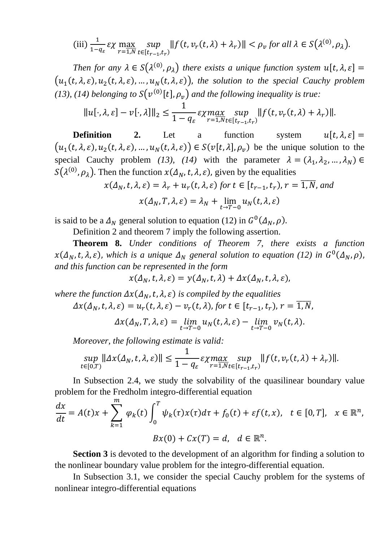$$
\text{(iii)}\,\frac{1}{1-q_{\varepsilon}}\varepsilon\chi\max_{r=1,N}\sup_{t\in[t_{r-1},t_r)}\|f(t,\nu_r(t,\lambda)+\lambda_r)\|<\rho_v\text{ for all }\lambda\in S\big(\lambda^{(0)},\rho_\lambda\big).
$$

Then for any  $\lambda \in S(\lambda^{(0)}, \rho_{\lambda})$  there exists a unique function system  $u[t, \lambda, \varepsilon] =$  $(u_1(t, \lambda, \varepsilon), u_2(t, \lambda, \varepsilon), ..., u_N(t, \lambda, \varepsilon))$ , the solution to the special Cauchy problem (13), (14) belonging to  $S(v^{(0)}[t], \rho_v)$  and the following inequality is true:

$$
||u[\cdot,\lambda,\varepsilon]-v[\cdot,\lambda]||_2 \leq \frac{1}{1-q_{\varepsilon}} \varepsilon \chi \max_{r=1,N} \sup_{t\in [t_{r-1},t_r)} ||f(t,v_r(t,\lambda)+\lambda_r)||.
$$

**Definition** 2. Let a function system  $u[t, \lambda, \varepsilon] =$  $(u_1(t, \lambda, \varepsilon), u_2(t, \lambda, \varepsilon), ..., u_N(t, \lambda, \varepsilon)) \in S(v[t, \lambda], \rho_v)$  be the unique solution to the special Cauchy problem *(13), (14)* with the parameter  $\lambda = (\lambda_1, \lambda_2, ..., \lambda_N) \in$  $S(\lambda^{(0)}, \rho_{\lambda})$ . Then the function  $x(\Delta_N, t, \lambda, \varepsilon)$ , given by the equalities

$$
x(\Delta_N, t, \lambda, \varepsilon) = \lambda_r + u_r(t, \lambda, \varepsilon)
$$
 for  $t \in [t_{r-1}, t_r)$ ,  $r = \overline{1, N}$ , and

$$
x(\Delta_N, T, \lambda, \varepsilon) = \lambda_N + \lim_{t \to T-0} u_N(t, \lambda, \varepsilon)
$$

is said to be a  $\Delta_N$  general solution to equation (12) in  $G^0(\Delta_N, \rho)$ .

Definition 2 and theorem 7 imply the following assertion.

**Theorem 8.** *Under conditions of Theorem 7, there exists a function*   $x(\Delta_N, t, \lambda, \varepsilon)$ , which is a unique  $\Delta_N$  general solution to equation (12) in  $G^0(\Delta_N, \rho)$ , *and this function can be represented in the form*

$$
x(\Delta_N, t, \lambda, \varepsilon) = y(\Delta_N, t, \lambda) + \Delta x(\Delta_N, t, \lambda, \varepsilon),
$$

*where the function*  $\Delta x(\Delta_N, t, \lambda, \varepsilon)$  *is compiled by the equalities*  $\Delta x(\Delta_N, t, \lambda, \varepsilon) = u_r(t, \lambda, \varepsilon) - v_r(t, \lambda)$ , for  $t \in [t_{r-1}, t_r)$ ,  $r = \overline{1, N}$ ,

$$
\Delta x(\Delta_N, T, \lambda, \varepsilon) = \lim_{t \to T-0} u_N(t, \lambda, \varepsilon) - \lim_{t \to T-0} v_N(t, \lambda).
$$

*Moreover, the following estimate is valid:*

$$
\sup_{t\in[0,T)}\|\Delta x(\Delta_N,t,\lambda,\varepsilon)\| \leq \frac{1}{1-q_\varepsilon}\mathop{\rm{exp}}_{r=1,N} \sup_{t\in[t_{r-1},t_r)}\|f(t,v_r(t,\lambda)+\lambda_r)\|.
$$

In Subsection 2.4, we study the solvability of the quasilinear boundary value problem for the Fredholm integro-differential equation

$$
\frac{dx}{dt} = A(t)x + \sum_{k=1}^{m} \varphi_k(t) \int_0^T \psi_k(\tau) x(\tau) d\tau + f_0(t) + \varepsilon f(t, x), \quad t \in [0, T], \quad x \in \mathbb{R}^n,
$$

$$
Bx(0) + Cx(T) = d, \quad d \in \mathbb{R}^n.
$$

**Section 3** is devoted to the development of an algorithm for finding a solution to the nonlinear boundary value problem for the integro-differential equation.

In Subsection 3.1, we consider the special Cauchy problem for the systems of nonlinear integro-differential equations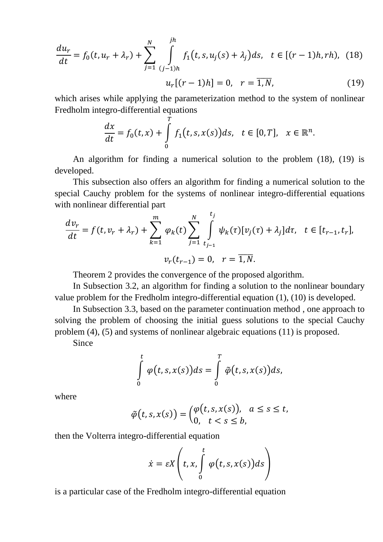$$
\frac{du_r}{dt} = f_0(t, u_r + \lambda_r) + \sum_{j=1}^N \int_{(j-1)h}^{jh} f_1(t, s, u_j(s) + \lambda_j) ds, \quad t \in [(r-1)h, rh), \quad (18)
$$

$$
u_r[(r-1)h] = 0, \quad r = \overline{1, N}, \quad (19)
$$

which arises while applying the parameterization method to the system of nonlinear Fredholm integro-differential equations

$$
\frac{dx}{dt}=f_0(t,x)+\int\limits_0^T f_1(t,s,x(s))ds,\quad t\in[0,T],\quad x\in\mathbb{R}^n.
$$

An algorithm for finding a numerical solution to the problem (18), (19) is developed.

This subsection also offers an algorithm for finding a numerical solution to the special Cauchy problem for the systems of nonlinear integro-differential equations with nonlinear differential part

$$
\frac{dv_r}{dt} = f(t, v_r + \lambda_r) + \sum_{k=1}^{m} \varphi_k(t) \sum_{j=1}^{N} \int_{t_{j-1}}^{t_j} \psi_k(\tau) [v_j(\tau) + \lambda_j] d\tau, \quad t \in [t_{r-1}, t_r],
$$

$$
v_r(t_{r-1}) = 0, \quad r = \overline{1, N}.
$$

Theorem 2 provides the convergence of the proposed algorithm.

In Subsection 3.2, an algorithm for finding a solution to the nonlinear boundary value problem for the Fredholm integro-differential equation (1), (10) is developed.

In Subsection 3.3, based on the parameter continuation method , one approach to solving the problem of choosing the initial guess solutions to the special Cauchy problem (4), (5) and systems of nonlinear algebraic equations (11) is proposed.

Since

$$
\int_{0}^{t} \varphi(t,s,x(s))ds = \int_{0}^{T} \tilde{\varphi}(t,s,x(s))ds,
$$

where

$$
\tilde{\varphi}(t,s,x(s)) = \begin{pmatrix} \varphi(t,s,x(s)), & a \leq s \leq t, \\ 0, & t < s \leq b, \end{pmatrix}
$$

then the Volterra integro-differential equation

$$
\dot{x} = \varepsilon X \left( t, x, \int\limits_{0}^{t} \varphi(t, s, x(s)) ds \right)
$$

is a particular case of the Fredholm integro-differential equation